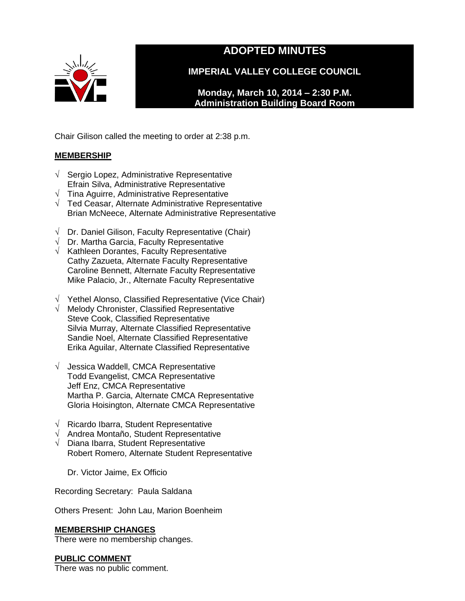

# **ADOPTED MINUTES**

**IMPERIAL VALLEY COLLEGE COUNCIL**

**Monday, March 10, 2014 – 2:30 P.M. Administration Building Board Room** 

Chair Gilison called the meeting to order at 2:38 p.m.

## **MEMBERSHIP**

- √ Sergio Lopez, Administrative Representative Efrain Silva, Administrative Representative
- $\sqrt{\phantom{a}}$  Tina Aguirre, Administrative Representative
- √ Ted Ceasar, Alternate Administrative Representative Brian McNeece, Alternate Administrative Representative
- $\sqrt{ }$  Dr. Daniel Gilison, Faculty Representative (Chair)
- $\sqrt{ }$  Dr. Martha Garcia, Faculty Representative
- $\sqrt{\phantom{a}}$  Kathleen Dorantes, Faculty Representative Cathy Zazueta, Alternate Faculty Representative Caroline Bennett, Alternate Faculty Representative Mike Palacio, Jr., Alternate Faculty Representative
- √ Yethel Alonso, Classified Representative (Vice Chair)
- √ Melody Chronister, Classified Representative Steve Cook, Classified Representative Silvia Murray, Alternate Classified Representative Sandie Noel, Alternate Classified Representative Erika Aguilar, Alternate Classified Representative
- √ Jessica Waddell, CMCA Representative Todd Evangelist, CMCA Representative Jeff Enz, CMCA Representative Martha P. Garcia, Alternate CMCA Representative Gloria Hoisington, Alternate CMCA Representative
- √ Ricardo Ibarra, Student Representative
- √ Andrea Montaño, Student Representative
- √ Diana Ibarra, Student Representative Robert Romero, Alternate Student Representative

Dr. Victor Jaime, Ex Officio

Recording Secretary: Paula Saldana

Others Present: John Lau, Marion Boenheim

## **MEMBERSHIP CHANGES**

There were no membership changes.

## **PUBLIC COMMENT**

There was no public comment.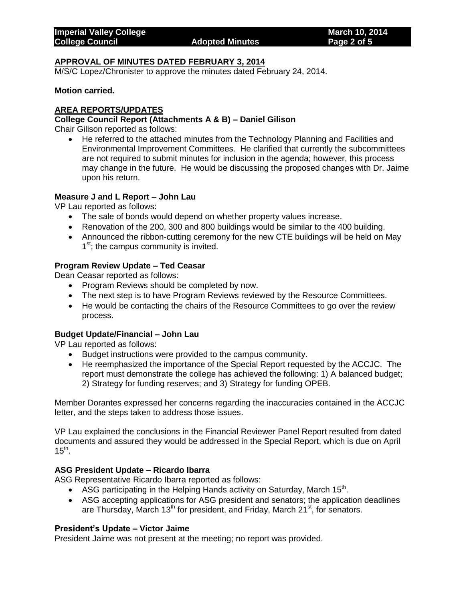### **APPROVAL OF MINUTES DATED FEBRUARY 3, 2014**

M/S/C Lopez/Chronister to approve the minutes dated February 24, 2014.

#### **Motion carried.**

## **AREA REPORTS/UPDATES**

#### **College Council Report (Attachments A & B) – Daniel Gilison**

Chair Gilison reported as follows:

 He referred to the attached minutes from the Technology Planning and Facilities and Environmental Improvement Committees. He clarified that currently the subcommittees are not required to submit minutes for inclusion in the agenda; however, this process may change in the future. He would be discussing the proposed changes with Dr. Jaime upon his return.

### **Measure J and L Report – John Lau**

VP Lau reported as follows:

- The sale of bonds would depend on whether property values increase.
- Renovation of the 200, 300 and 800 buildings would be similar to the 400 building.
- Announced the ribbon-cutting ceremony for the new CTE buildings will be held on May 1<sup>st</sup>; the campus community is invited.

### **Program Review Update – Ted Ceasar**

Dean Ceasar reported as follows:

- Program Reviews should be completed by now.
- The next step is to have Program Reviews reviewed by the Resource Committees.
- He would be contacting the chairs of the Resource Committees to go over the review process.

## **Budget Update/Financial – John Lau**

VP Lau reported as follows:

- Budget instructions were provided to the campus community.
- He reemphasized the importance of the Special Report requested by the ACCJC. The report must demonstrate the college has achieved the following: 1) A balanced budget; 2) Strategy for funding reserves; and 3) Strategy for funding OPEB.

Member Dorantes expressed her concerns regarding the inaccuracies contained in the ACCJC letter, and the steps taken to address those issues.

VP Lau explained the conclusions in the Financial Reviewer Panel Report resulted from dated documents and assured they would be addressed in the Special Report, which is due on April  $15^{\text{th}}$ .

#### **ASG President Update – Ricardo Ibarra**

ASG Representative Ricardo Ibarra reported as follows:

- ASG participating in the Helping Hands activity on Saturday, March 15<sup>th</sup>.
- ASG accepting applications for ASG president and senators; the application deadlines are Thursday, March 13<sup>th</sup> for president, and Friday, March 21<sup>st</sup>, for senators.

#### **President's Update – Victor Jaime**

President Jaime was not present at the meeting; no report was provided.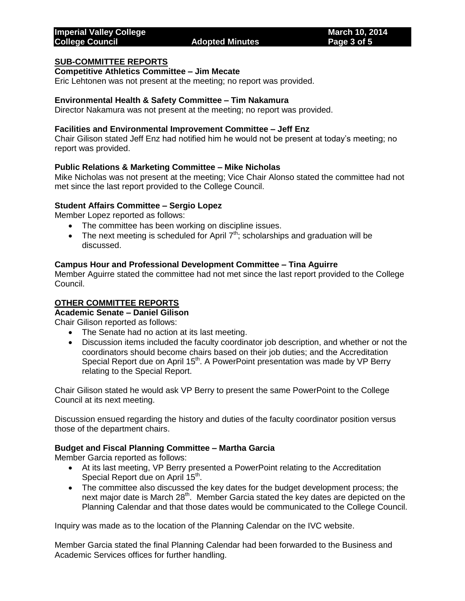#### **SUB-COMMITTEE REPORTS**

## **Competitive Athletics Committee – Jim Mecate**

Eric Lehtonen was not present at the meeting; no report was provided.

### **Environmental Health & Safety Committee – Tim Nakamura**

Director Nakamura was not present at the meeting; no report was provided.

#### **Facilities and Environmental Improvement Committee – Jeff Enz**

Chair Gilison stated Jeff Enz had notified him he would not be present at today's meeting; no report was provided.

### **Public Relations & Marketing Committee – Mike Nicholas**

Mike Nicholas was not present at the meeting; Vice Chair Alonso stated the committee had not met since the last report provided to the College Council.

#### **Student Affairs Committee – Sergio Lopez**

Member Lopez reported as follows:

- The committee has been working on discipline issues.
- The next meeting is scheduled for April  $7<sup>th</sup>$ ; scholarships and graduation will be discussed.

#### **Campus Hour and Professional Development Committee – Tina Aguirre**

Member Aguirre stated the committee had not met since the last report provided to the College Council.

## **OTHER COMMITTEE REPORTS**

## **Academic Senate – Daniel Gilison**

Chair Gilison reported as follows:

- The Senate had no action at its last meeting.
- Discussion items included the faculty coordinator job description, and whether or not the coordinators should become chairs based on their job duties; and the Accreditation Special Report due on April 15<sup>th</sup>. A PowerPoint presentation was made by VP Berry relating to the Special Report.

Chair Gilison stated he would ask VP Berry to present the same PowerPoint to the College Council at its next meeting.

Discussion ensued regarding the history and duties of the faculty coordinator position versus those of the department chairs.

#### **Budget and Fiscal Planning Committee – Martha Garcia**

Member Garcia reported as follows:

- At its last meeting, VP Berry presented a PowerPoint relating to the Accreditation Special Report due on April 15<sup>th</sup>.
- The committee also discussed the key dates for the budget development process; the next major date is March 28<sup>th</sup>. Member Garcia stated the key dates are depicted on the Planning Calendar and that those dates would be communicated to the College Council.

Inquiry was made as to the location of the Planning Calendar on the IVC website.

Member Garcia stated the final Planning Calendar had been forwarded to the Business and Academic Services offices for further handling.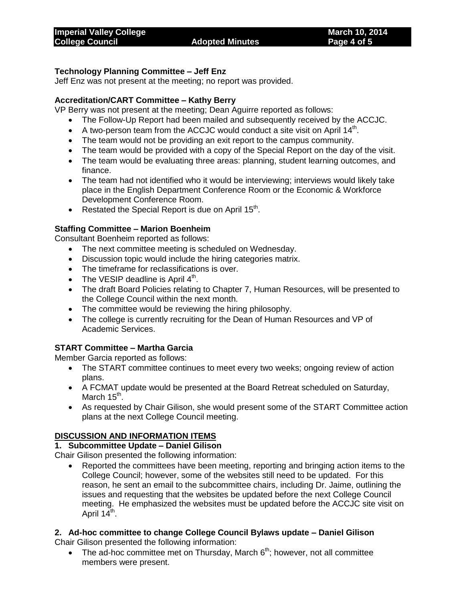## **Technology Planning Committee – Jeff Enz**

Jeff Enz was not present at the meeting; no report was provided.

## **Accreditation/CART Committee – Kathy Berry**

VP Berry was not present at the meeting; Dean Aguirre reported as follows:

- The Follow-Up Report had been mailed and subsequently received by the ACCJC.
- $\bullet$  A two-person team from the ACCJC would conduct a site visit on April 14<sup>th</sup>.
- The team would not be providing an exit report to the campus community.
- The team would be provided with a copy of the Special Report on the day of the visit.
- The team would be evaluating three areas: planning, student learning outcomes, and finance.
- The team had not identified who it would be interviewing; interviews would likely take place in the English Department Conference Room or the Economic & Workforce Development Conference Room.
- Restated the Special Report is due on April  $15<sup>th</sup>$ .

## **Staffing Committee – Marion Boenheim**

Consultant Boenheim reported as follows:

- The next committee meeting is scheduled on Wednesday.
- Discussion topic would include the hiring categories matrix.
- The timeframe for reclassifications is over.
- The VESIP deadline is April  $4<sup>th</sup>$ .
- The draft Board Policies relating to Chapter 7, Human Resources, will be presented to the College Council within the next month.
- The committee would be reviewing the hiring philosophy.
- The college is currently recruiting for the Dean of Human Resources and VP of Academic Services.

## **START Committee – Martha Garcia**

Member Garcia reported as follows:

- The START committee continues to meet every two weeks; ongoing review of action plans.
- A FCMAT update would be presented at the Board Retreat scheduled on Saturday, March 15<sup>th</sup>.
- As requested by Chair Gilison, she would present some of the START Committee action plans at the next College Council meeting.

## **DISCUSSION AND INFORMATION ITEMS**

## **1. Subcommittee Update – Daniel Gilison**

Chair Gilison presented the following information:

 Reported the committees have been meeting, reporting and bringing action items to the College Council; however, some of the websites still need to be updated. For this reason, he sent an email to the subcommittee chairs, including Dr. Jaime, outlining the issues and requesting that the websites be updated before the next College Council meeting. He emphasized the websites must be updated before the ACCJC site visit on April 14<sup>th</sup>.

## **2. Ad-hoc committee to change College Council Bylaws update – Daniel Gilison**

Chair Gilison presented the following information:

• The ad-hoc committee met on Thursday, March  $6<sup>th</sup>$ ; however, not all committee members were present.